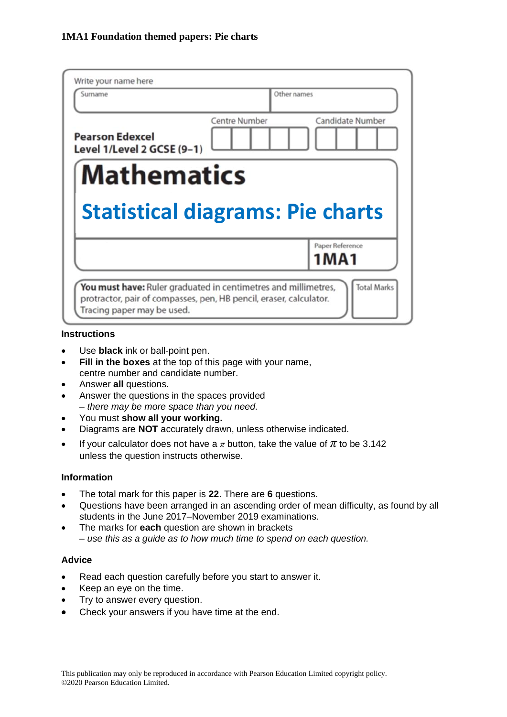| Write your name here<br>Surname                      |               | Other names |                            |
|------------------------------------------------------|---------------|-------------|----------------------------|
| <b>Pearson Edexcel</b><br>Level 1/Level 2 GCSE (9-1) | Centre Number |             | Candidate Number           |
| <b>Mathematics</b>                                   |               |             |                            |
|                                                      |               |             |                            |
| <b>Statistical diagrams: Pie charts</b>              |               |             |                            |
|                                                      |               |             | Paper Reference<br>1 M A 1 |

#### **Instructions**

- Use **black** ink or ball-point pen.
- **Fill in the boxes** at the top of this page with your name, centre number and candidate number.
- Answer **all** questions.
- Answer the questions in the spaces provided *– there may be more space than you need.*
- You must **show all your working.**
- Diagrams are **NOT** accurately drawn, unless otherwise indicated.
- If your calculator does not have a  $\pi$  button, take the value of  $\pi$  to be 3.142 unless the question instructs otherwise.

## **Information**

- The total mark for this paper is **22**. There are **6** questions.
- Questions have been arranged in an ascending order of mean difficulty, as found by all students in the June 2017–November 2019 examinations.
- The marks for **each** question are shown in brackets *– use this as a guide as to how much time to spend on each question.*

# **Advice**

- Read each question carefully before you start to answer it.
- Keep an eye on the time.
- Try to answer every question.
- Check your answers if you have time at the end.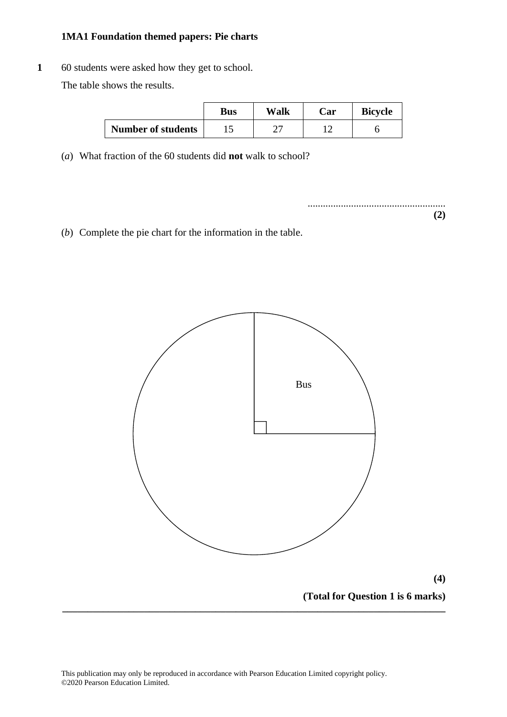**1** 60 students were asked how they get to school. The table shows the results.

|                           | <b>Bus</b> | Walk | Car | <b>Bicycle</b> |
|---------------------------|------------|------|-----|----------------|
| <b>Number of students</b> |            | ∸    |     |                |

(*a*) What fraction of the 60 students did **not** walk to school? (a) What fraction of the 60 students did **not** walk to school?

...................................................... ...................................................... **(2) (2)**

(*b*) Complete the pie chart for the information in the table. (b) Complete the pie chart for the information in the table.

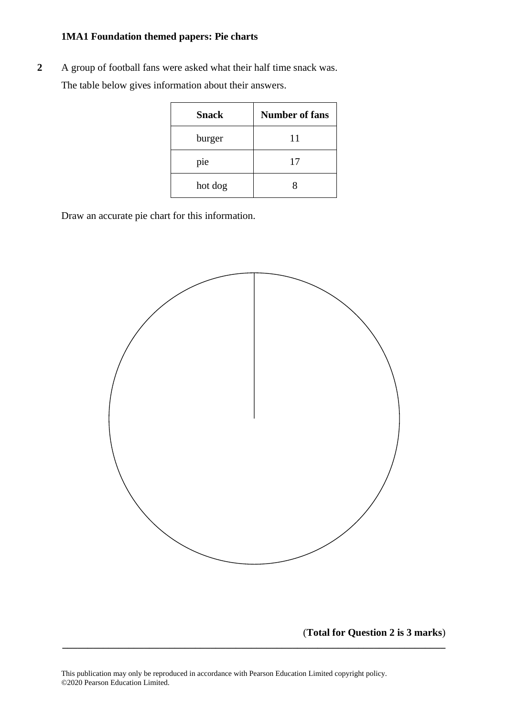**2** A group of football fans were asked what their half time snack was. The table below gives information about their answers. The table below gives in the table below the table the state and the state of the state of the state and the state of the state of the state of the state of the state of the state of the state of the state of the state of

| <b>Snack</b> | <b>Number of fans</b> |
|--------------|-----------------------|
| burger       | 11                    |
| pie          | 17                    |
| hot dog      | x                     |

Draw an accurate pie chart for this information. Draw an accurate pie chart for this information.



(**Total for Question 2 is 3 marks**)

**\_\_\_\_\_\_\_\_\_\_\_\_\_\_\_\_\_\_\_\_\_\_\_\_\_\_\_\_\_\_\_\_\_\_\_\_\_\_\_\_\_\_\_\_\_\_\_\_\_\_\_\_\_\_\_\_\_\_\_\_\_\_\_\_\_\_\_\_\_\_\_\_\_\_\_**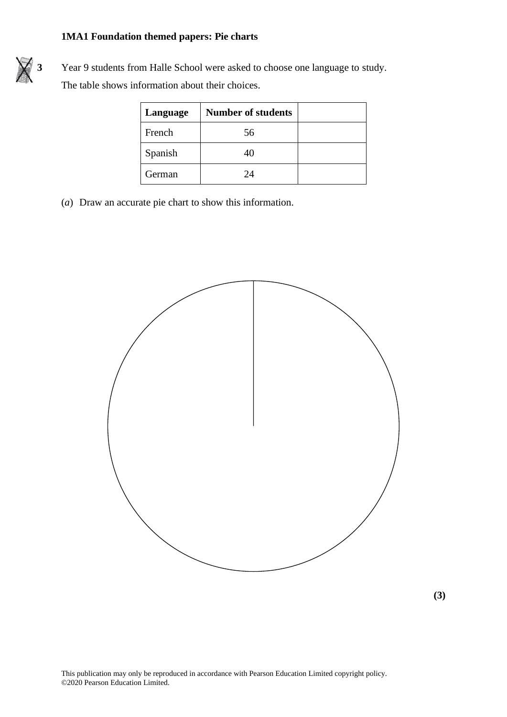

**3** Year 9 students from Halle School were asked to choose one language to study. The table shows information about their choices.

| Language | <b>Number of students</b> |  |
|----------|---------------------------|--|
| French   | 56                        |  |
| Spanish  | 40                        |  |
| German   | 24                        |  |

(*a*) Draw an accurate pie chart to show this information. (a) Draw an accurate pie chart to show this information.



**(3) (3)**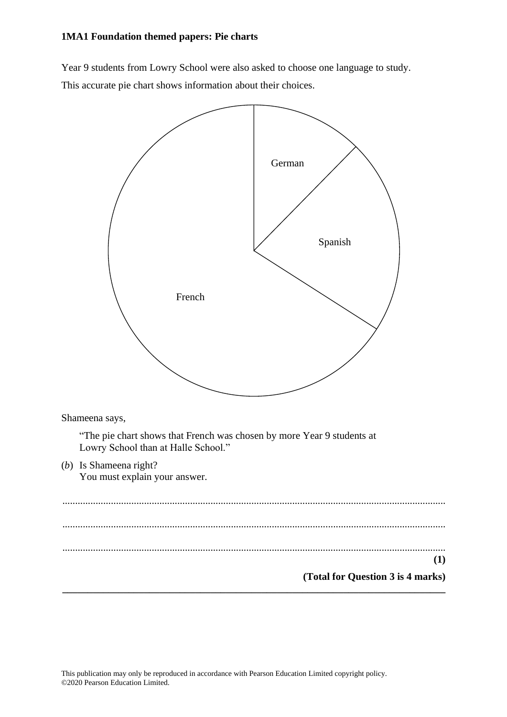Year 9 students from Lowry School were also asked to choose one language to study. Year 9 students from Lowry School were also asked to choose one language to study. This accurate pie chart shows information about their choices. This accurate pie chart shows information about their choices.

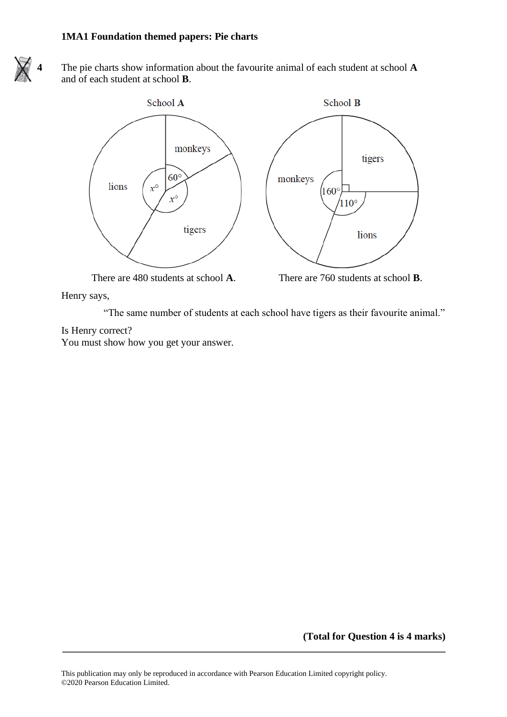

**4** The pie charts show information about the favourite animal of each student at school **A** and of each student at school **B**.



Henry says,

"The same number of students at each school have tigers as their favourite animal."

Is Henry correct?

You must show how you get your answer.

**(Total for Question 4 is 4 marks)**

**\_\_\_\_\_\_\_\_\_\_\_\_\_\_\_\_\_\_\_\_\_\_\_\_\_\_\_\_\_\_\_\_\_\_\_\_\_\_\_\_\_\_\_\_\_\_\_\_\_\_\_\_\_\_\_\_\_\_\_\_\_\_\_\_\_\_\_\_\_\_\_\_\_\_\_**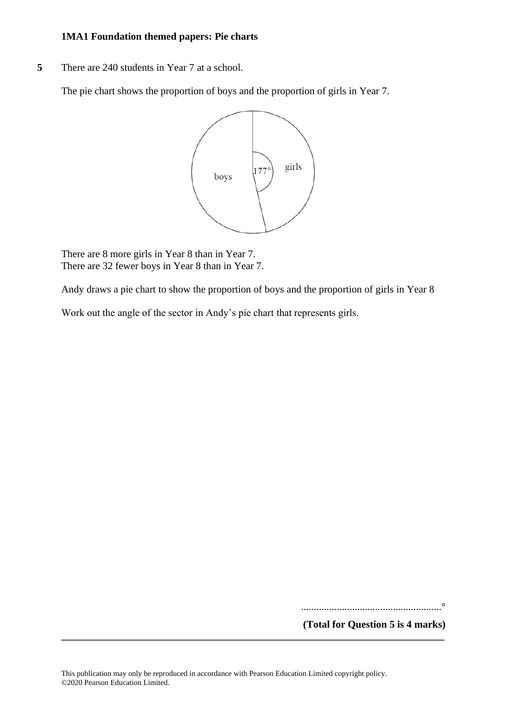**5** There are 240 students in Year 7 at a school.

The pie chart shows the proportion of boys and the proportion of girls in Year 7.



There are 8 more girls in Year 8 than in Year 7. There are 32 fewer boys in Year 8 than in Year 7.

Andy draws a pie chart to show the proportion of boys and the proportion of girls in Year 8

Work out the angle of the sector in Andy's pie chart that represents girls.

.......................................................°

**(Total for Question 5 is 4 marks)**

**\_\_\_\_\_\_\_\_\_\_\_\_\_\_\_\_\_\_\_\_\_\_\_\_\_\_\_\_\_\_\_\_\_\_\_\_\_\_\_\_\_\_\_\_\_\_\_\_\_\_\_\_\_\_\_\_\_\_\_\_\_\_\_\_\_\_\_\_\_\_\_\_\_\_\_**